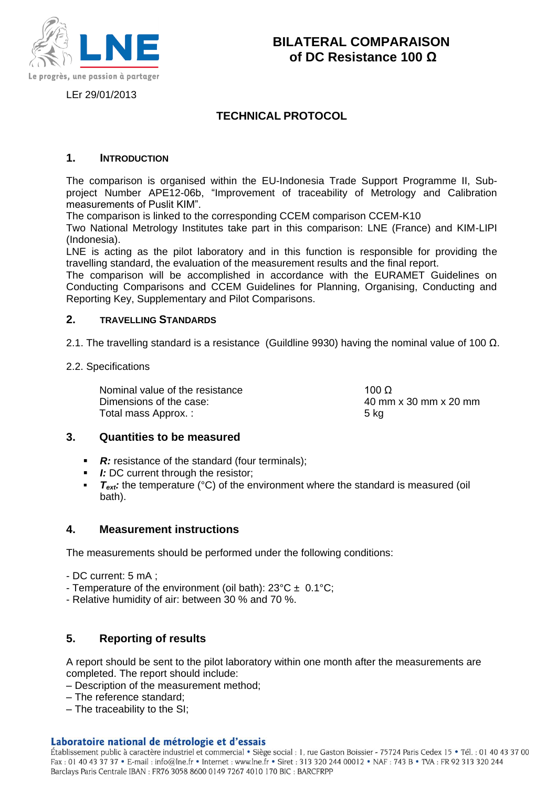

LEr 29/01/2013

## **TECHNICAL PROTOCOL**

## **1. INTRODUCTION**

The comparison is organised within the EU-Indonesia Trade Support Programme II, Subproject Number APE12-06b, "Improvement of traceability of Metrology and Calibration measurements of Puslit KIM".

The comparison is linked to the corresponding CCEM comparison CCEM-K10

Two National Metrology Institutes take part in this comparison: LNE (France) and KIM-LIPI (Indonesia).

LNE is acting as the pilot laboratory and in this function is responsible for providing the travelling standard, the evaluation of the measurement results and the final report.

The comparison will be accomplished in accordance with the EURAMET Guidelines on Conducting Comparisons and CCEM Guidelines for Planning, Organising, Conducting and Reporting Key, Supplementary and Pilot Comparisons.

## **2. TRAVELLING STANDARDS**

2.1. The travelling standard is a resistance (Guildline 9930) having the nominal value of 100  $\Omega$ .

2.2. Specifications

Nominal value of the resistance 100 Ω Dimensions of the case: 40 mm x 30 mm x 20 mm Total mass Approx. : 5 kg

## **3. Quantities to be measured**

- **R:** resistance of the standard (four terminals);
- *I:* DC current through the resistor;
- *T<sub>ext</sub>*: the temperature (°C) of the environment where the standard is measured (oil bath).

## **4. Measurement instructions**

The measurements should be performed under the following conditions:

- DC current: 5 mA ;
- Temperature of the environment (oil bath):  $23^{\circ}C \pm 0.1^{\circ}C$ ;
- Relative humidity of air: between 30 % and 70 %.

## **5. Reporting of results**

A report should be sent to the pilot laboratory within one month after the measurements are completed. The report should include:

- Description of the measurement method;
- The reference standard;
- The traceability to the SI;

#### Laboratoire national de métrologie et d'essais